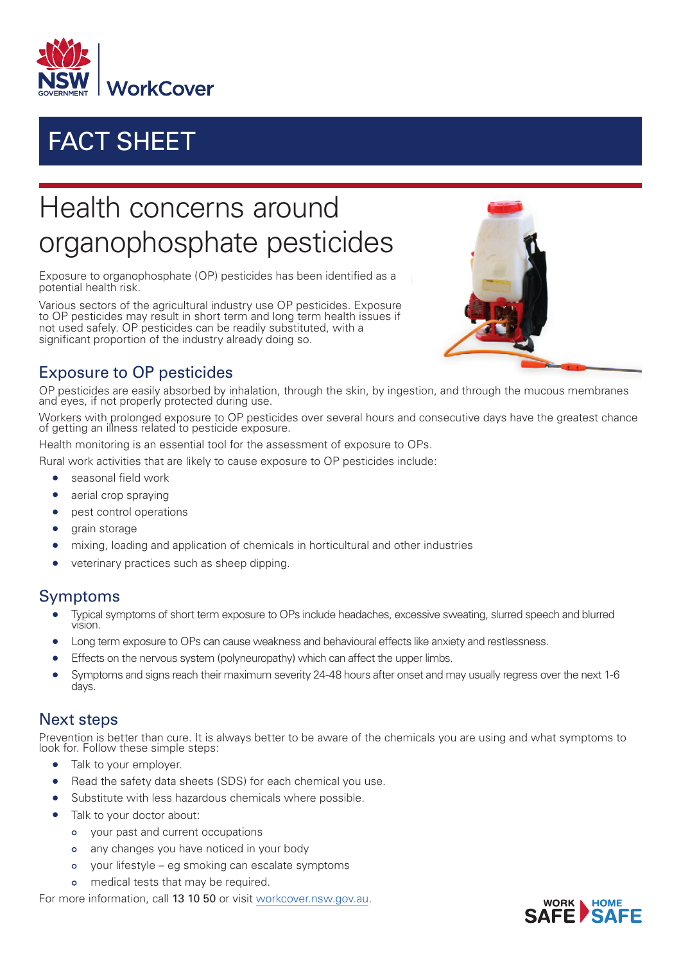

## FACT SHEET

# Health concerns around organophosphate pesticides

Exposure to organophosphate (OP) pesticides has been identified as a potential health risk.

Various sectors of the agricultural industry use OP pesticides. Exposure to OP pesticides may result in short term and long term health issues if not used safely. OP pesticides can be readily substituted, with a significant proportion of the industry already doing so.



### Exposure to OP pesticides

OP pesticides are easily absorbed by inhalation, through the skin, by ingestion, and through the mucous membranes and eyes, if not properly protected during use.

Workers with prolonged exposure to OP pesticides over several hours and consecutive days have the greatest chance of getting an illness related to pesticide exposure.

Health monitoring is an essential tool for the assessment of exposure to OPs.

Rural work activities that are likely to cause exposure to OP pesticides include:

- seasonal field work
- aerial crop spraying
- pest control operations
- grain storage
- mixing, loading and application of chemicals in horticultural and other industries
- veterinary practices such as sheep dipping.

#### Symptoms

- Typical symptoms of short term exposure to OPs include headaches, excessive sweating, slurred speech and blurred vision.
- Long term exposure to OPs can cause weakness and behavioural effects like anxiety and restlessness.
- Effects on the nervous system (polyneuropathy) which can affect the upper limbs.
- Symptoms and signs reach their maximum severity 24-48 hours after onset and may usually regress over the next 1-6 days.

#### Next steps

Prevention is better than cure. It is always better to be aware of the chemicals you are using and what symptoms to look for. Follow these simple steps:

- Talk to your employer.
- Read the safety data sheets (SDS) for each chemical you use.
- Substitute with less hazardous chemicals where possible.
- Talk to your doctor about:
	- your past and current occupations
	- any changes you have noticed in your body  $\Omega$
	- your lifestyle eg smoking can escalate symptoms  $\circ$
	- medical tests that may be required.  $\circ$

For more information, call 13 10 50 or visit [workcover.nsw.gov.au](http://www.workcover.nsw.gov.au).